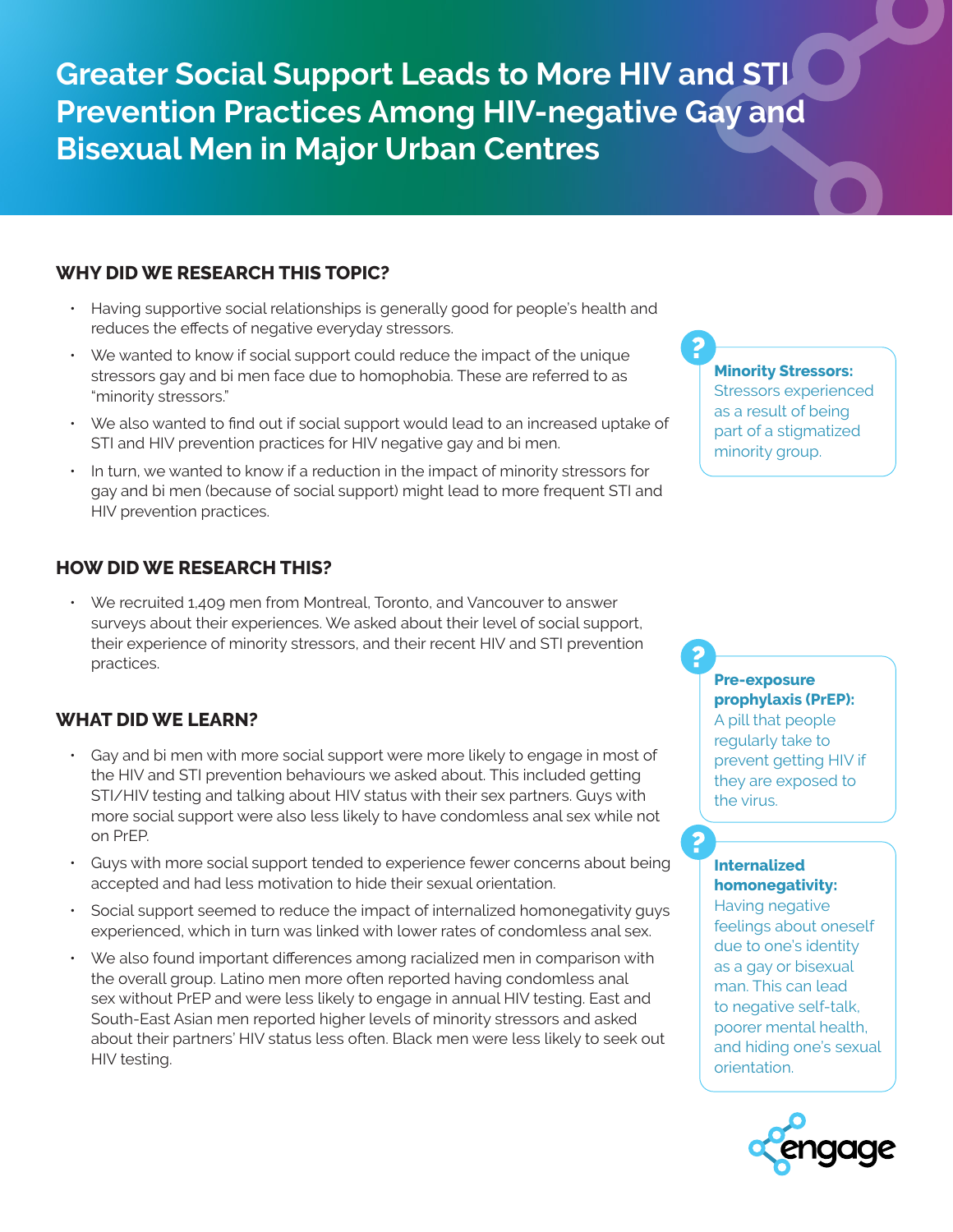**Greater Social Support Leads to More HIV and STI Prevention Practices Among HIV-negative Gay and Bisexual Men in Major Urban Centres**

# **WHY DID WE RESEARCH THIS TOPIC?**

- Having supportive social relationships is generally good for people's health and reduces the effects of negative everyday stressors.
- We wanted to know if social support could reduce the impact of the unique stressors gay and bi men face due to homophobia. These are referred to as "minority stressors."
- We also wanted to find out if social support would lead to an increased uptake of STI and HIV prevention practices for HIV negative gay and bi men.
- In turn, we wanted to know if a reduction in the impact of minority stressors for gay and bi men (because of social support) might lead to more frequent STI and HIV prevention practices.

# **HOW DID WE RESEARCH THIS?**

• We recruited 1,409 men from Montreal, Toronto, and Vancouver to answer surveys about their experiences. We asked about their level of social support, their experience of minority stressors, and their recent HIV and STI prevention practices.

# **WHAT DID WE LEARN?**

- Gay and bi men with more social support were more likely to engage in most of the HIV and STI prevention behaviours we asked about. This included getting STI/HIV testing and talking about HIV status with their sex partners. Guys with more social support were also less likely to have condomless anal sex while not on PrEP.
- Guys with more social support tended to experience fewer concerns about being accepted and had less motivation to hide their sexual orientation.
- Social support seemed to reduce the impact of internalized homonegativity guys experienced, which in turn was linked with lower rates of condomless anal sex.
- We also found important differences among racialized men in comparison with the overall group. Latino men more often reported having condomless anal sex without PrEP and were less likely to engage in annual HIV testing. East and South-East Asian men reported higher levels of minority stressors and asked about their partners' HIV status less often. Black men were less likely to seek out HIV testing.

#### **Minority Stressors:**

Stressors experienced as a result of being part of a stigmatized minority group.

### **Pre-exposure prophylaxis (PrEP):**

A pill that people regularly take to prevent getting HIV if they are exposed to the virus.

### **Internalized homonegativity:**

Having negative feelings about oneself due to one's identity as a gay or bisexual man. This can lead to negative self-talk, poorer mental health, and hiding one's sexual orientation.